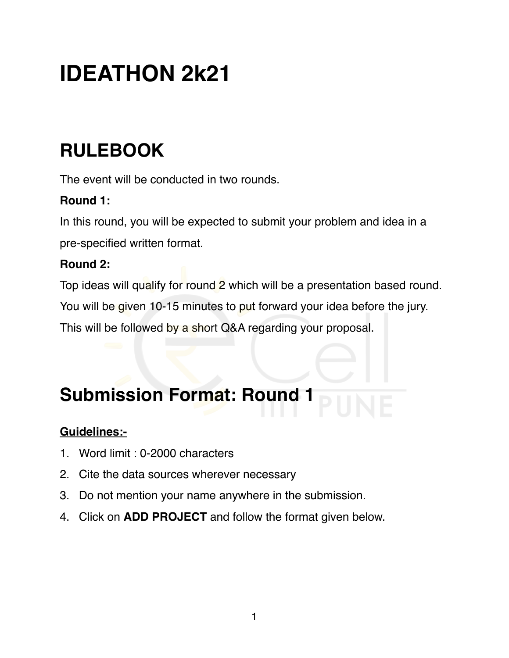# **IDEATHON 2k21**

# **RULEBOOK**

The event will be conducted in two rounds.

#### **Round 1:**

In this round, you will be expected to submit your problem and idea in a pre-specified written format.

#### **Round 2:**

Top ideas will qualify for round 2 which will be a presentation based round. You will be given 10-15 minutes to put forward your idea before the jury. This will be followed by a short Q&A regarding your proposal.

# **Submission Format: Round 1**

#### **Guidelines:-**

- 1. Word limit : 0-2000 characters
- 2. Cite the data sources wherever necessary
- 3. Do not mention your name anywhere in the submission.
- 4. Click on **ADD PROJECT** and follow the format given below.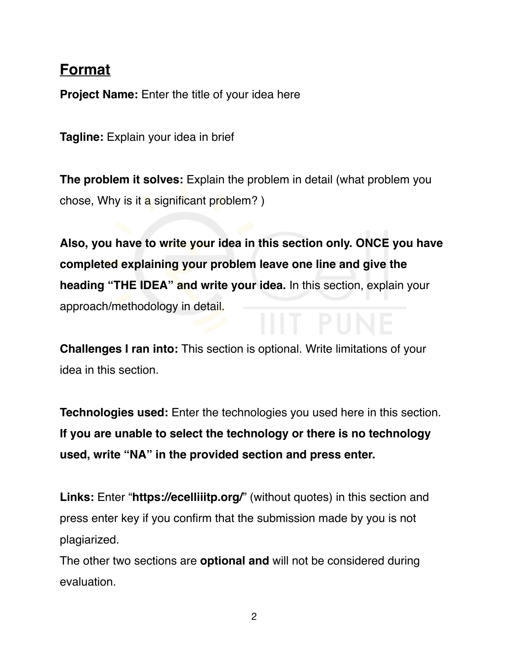#### **Format**

**Project Name:** Enter the title of your idea here

**Tagline:** Explain your idea in brief

**The problem it solves:** Explain the problem in detail (what problem you chose, Why is it a significant problem?  $)$ 

**Also, you have to write your idea in this section only. ONCE you have completed explaining your problem leave one line and give the heading "THE IDEA" and write your idea.** In this section, explain your approach/methodology in detail.

**Challenges I ran into:** This section is optional. Write limitations of your idea in this section.

**Technologies used:** Enter the technologies you used here in this section. **If you are unable to select the technology or there is no technology used, write "NA" in the provided section and press enter.**

**Links:** Enter "**https://ecelliiitp.org/**" (without quotes) in this section and press enter key if you confirm that the submission made by you is not plagiarized.

The other two sections are **optional and** will not be considered during evaluation.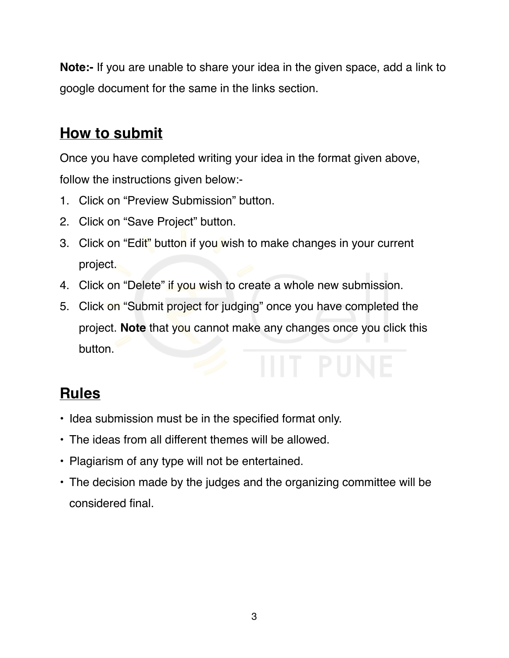**Note:-** If you are unable to share your idea in the given space, add a link to google document for the same in the links section.

# **How to submit**

Once you have completed writing your idea in the format given above, follow the instructions given below:-

- 1. Click on "Preview Submission" button.
- 2. Click on "Save Project" button.
- 3. Click on "Edit" button if you wish to make changes in your current project.
- 4. Click on "Delete" if you wish to create a whole new submission.
- 5. Click on "Submit project for judging" once you have completed the project. **Note** that you cannot make any changes once you click this button.

# **Rules**

- Idea submission must be in the specified format only.
- The ideas from all different themes will be allowed.
- Plagiarism of any type will not be entertained.
- The decision made by the judges and the organizing committee will be considered final.